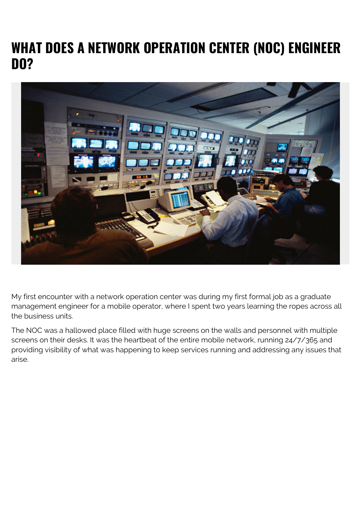## **WHAT DOES A NETWORK OPERATION CENTER (NOC) ENGINEER DO?**



My first encounter with a network operation center was during my first formal job as a graduate management engineer for a mobile operator, where I spent two years learning the ropes across all the business units.

The NOC was a hallowed place filled with huge screens on the walls and personnel with multiple screens on their desks. It was the heartbeat of the entire mobile network, running 24/7/365 and providing visibility of what was happening to keep services running and addressing any issues that arise.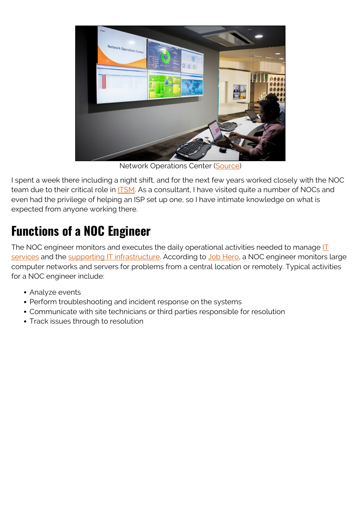

Network Operations Center ([Source](https://blogs.bmc.com/corporate/customer-experience-program.html))

I spent a week there including a night shift, and for the next few years worked closely with the NOC team due to their critical role in **ITSM**. As a consultant, I have visited quite a number of NOCs and even had the privilege of helping an ISP set up one, so I have intimate knowledge on what is expected from anyone working there.

## **Functions of a NOC Engineer**

The NOC engineer monitors and executes the daily operational activities needed to manage  $II$ [services](https://blogs.bmc.com/blogs/it-service/) and the [supporting IT infrastructure.](https://blogs.bmc.com/blogs/it-infrastructure-management/) According to [Job Hero](https://www.jobhero.com/job-description/examples/data-systems-administration/noc-engineer), a NOC engineer monitors large computer networks and servers for problems from a central location or remotely. Typical activities for a NOC engineer include:

- Analyze events
- Perform troubleshooting and incident response on the systems
- Communicate with site technicians or third parties responsible for resolution
- Track issues through to resolution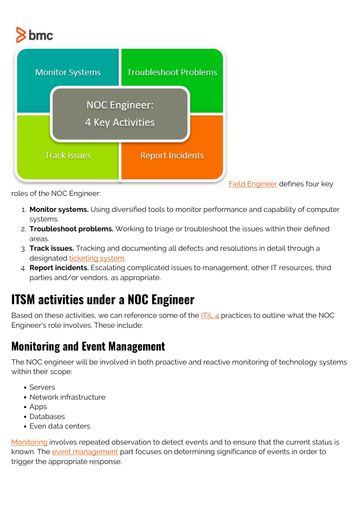# bmc



[Field Engineer](https://www.fieldengineer.com/skills/noc-engineer) defines four key

roles of the NOC Engineer:

- 1. **Monitor systems.** Using diversified tools to monitor performance and capability of computer systems.
- 2. **Troubleshoot problems.** Working to triage or troubleshoot the issues within their defined areas.
- 3. **Track issues.** Tracking and documenting all defects and resolutions in detail through a designated [ticketing system](https://blogs.bmc.com/blogs/it-ticketing-systems/).
- 4. **Report incidents.** Escalating complicated issues to management, other IT resources, third parties and/or vendors, as appropriate.

## **ITSM activities under a NOC Engineer**

Based on these activities, we can reference some of the  $\frac{|\mathsf{T}|}{4}$  practices to outline what the NOC Engineer's role involves. These include:

#### **Monitoring and Event Management**

The NOC engineer will be involved in both proactive and reactive monitoring of technology systems within their scope:

- Servers
- Network infrastructure
- Apps
- Databases
- Even data centers

[Monitoring](https://blogs.bmc.com/blogs/it-monitoring/) involves repeated observation to detect events and to ensure that the current status is known. The [event management](https://blogs.bmc.com/blogs/it-event-management/) part focuses on determining significance of events in order to trigger the appropriate response.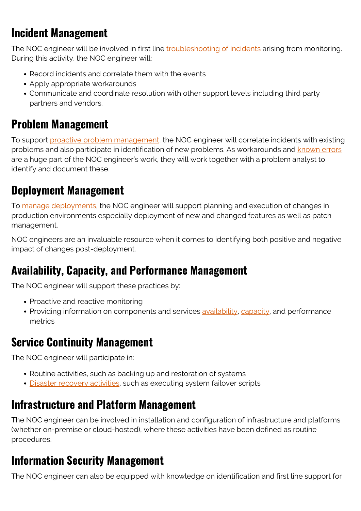#### **Incident Management**

The NOC engineer will be involved in first line [troubleshooting of incidents](https://blogs.bmc.com/blogs/incident-management/) arising from monitoring. During this activity, the NOC engineer will:

- Record incidents and correlate them with the events
- Apply appropriate workarounds
- Communicate and coordinate resolution with other support levels including third party partners and vendors.

#### **Problem Management**

To support [proactive problem management,](https://blogs.bmc.com/blogs/reactive-vs-proactive-problem-management/) the NOC engineer will correlate incidents with existing problems and also participate in identification of new problems. As workarounds and [known errors](https://blogs.bmc.com/blogs/known-error-database-an-introduction-to-kedbs/) are a huge part of the NOC engineer's work, they will work together with a problem analyst to identify and document these.

#### **Deployment Management**

To [manage deployments,](https://blogs.bmc.com/blogs/itil-release-deployment-management/) the NOC engineer will support planning and execution of changes in production environments especially deployment of new and changed features as well as patch management.

NOC engineers are an invaluable resource when it comes to identifying both positive and negative impact of changes post-deployment.

#### **Availability, Capacity, and Performance Management**

The NOC engineer will support these practices by:

- Proactive and reactive monitoring
- Providing information on components and services [availability,](https://blogs.bmc.com/blogs/service-availability-calculation-metrics/) [capacity](https://blogs.bmc.com/blogs/it-capacity-management-planning/), and performance metrics

#### **Service Continuity Management**

The NOC engineer will participate in:

- Routine activities, such as backing up and restoration of systems
- [Disaster recovery activities](https://blogs.bmc.com/blogs/disaster-recovery-planning/), such as executing system failover scripts

#### **Infrastructure and Platform Management**

The NOC engineer can be involved in installation and configuration of infrastructure and platforms (whether on-premise or cloud-hosted), where these activities have been defined as routine procedures.

#### **Information Security Management**

The NOC engineer can also be equipped with knowledge on identification and first line support for